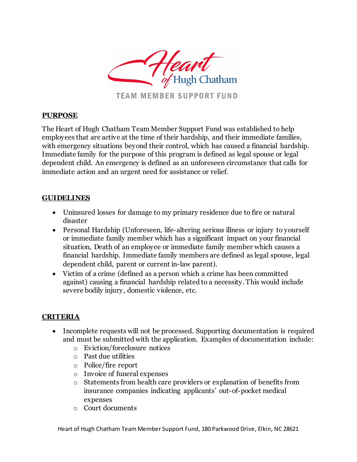

### **PURPOSE**

The Heart of Hugh Chatham Team Member Support Fund was established to help employees that are active at the time of their hardship, and their immediate families, with emergency situations beyond their control, which has caused a financial hardship. Immediate family for the purpose of this program is defined as legal spouse or legal dependent child. An emergency is defined as an unforeseen circumstance that calls for immediate action and an urgent need for assistance or relief.

### **GUIDELINES**

- Uninsured losses for damage to my primary residence due to fire or natural disaster
- Personal Hardship (Unforeseen, life-altering serious illness or injury to yourself or immediate family member which has a significant impact on your financial situation, Death of an employee or immediate family member which causes a financial hardship. Immediate family members are defined as legal spouse, legal dependent child, parent or current in-law parent).
- Victim of a crime (defined as a person which a crime has been committed against) causing a financial hardship related to a necessity. This would include severe bodily injury, domestic violence, etc.

## **CRITERIA**

- Incomplete requests will not be processed. Supporting documentation is required and must be submitted with the application. Examples of documentation include:
	- o Eviction/foreclosure notices
	- o Past due utilities
	- o Police/fire report
	- o Invoice of funeral expenses
	- o Statements from health care providers or explanation of benefits from insurance companies indicating applicants' out-of-pocket medical expenses
	- o Court documents

Heart of Hugh Chatham Team Member Support Fund, 180 Parkwood Drive, Elkin, NC 28621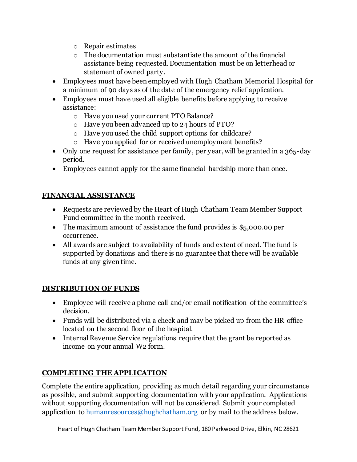- o Repair estimates
- o The documentation must substantiate the amount of the financial assistance being requested. Documentation must be on letterhead or statement of owned party.
- Employees must have been employed with Hugh Chatham Memorial Hospital for a minimum of 90 days as of the date of the emergency relief application.
- Employees must have used all eligible benefits before applying to receive assistance:
	- o Have you used your current PTO Balance?
	- o Have you been advanced up to 24 hours of PTO?
	- o Have you used the child support options for childcare?
	- o Have you applied for or received unemployment benefits?
- Only one request for assistance per family, per year, will be granted in a 365-day period.
- Employees cannot apply for the same financial hardship more than once.

## **FINANCIAL ASSISTANCE**

- Requests are reviewed by the Heart of Hugh Chatham Team Member Support Fund committee in the month received.
- The maximum amount of assistance the fund provides is \$5,000.00 per occurrence.
- All awards are subject to availability of funds and extent of need. The fund is supported by donations and there is no guarantee that there will be available funds at any given time.

## **DISTRIBUTION OF FUNDS**

- Employee will receive a phone call and/or email notification of the committee's decision.
- Funds will be distributed via a check and may be picked up from the HR office located on the second floor of the hospital.
- Internal Revenue Service regulations require that the grant be reported as income on your annual W2 form.

# **COMPLETING THE APPLICATION**

Complete the entire application, providing as much detail regarding your circumstance as possible, and submit supporting documentation with your application. Applications without supporting documentation will not be considered. Submit your completed application to [humanresources@hughchatham.org](mailto:humanresources@hughchatham.org) or by mail to the address below.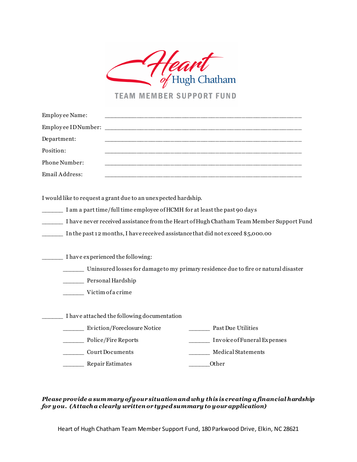

**TEAM MEMBER SUPPORT FUND** 

| Employee Name:                         |                                                                                                                                             |                                                                                                                                                                              |
|----------------------------------------|---------------------------------------------------------------------------------------------------------------------------------------------|------------------------------------------------------------------------------------------------------------------------------------------------------------------------------|
| Employee IDNumber:                     |                                                                                                                                             |                                                                                                                                                                              |
| Department:                            |                                                                                                                                             | <u> 1980 - Johann John Stoff, deutscher Stoff, der Stoff, der Stoff, der Stoff, der Stoff, der Stoff, der Stoff, </u>                                                        |
| Position:                              |                                                                                                                                             |                                                                                                                                                                              |
| Phone Number:                          |                                                                                                                                             | <u> 1980 - Johann John Stone, mensk politik (f. 1980)</u>                                                                                                                    |
| Email Address:                         |                                                                                                                                             |                                                                                                                                                                              |
|                                        | I would like to request a grant due to an unexpected hardship.<br>I am a part time/full time employee of HCMH for at least the past 90 days | I have never received assistance from the Heart of Hugh Chatham Team Member Support Fund<br>In the past 12 months, I have received assistance that did not exceed \$5,000.00 |
| Personal Hardship<br>Victim of a crime | I have experienced the following:                                                                                                           | Uninsured losses for damage to my primary residence due to fire or natural disaster                                                                                          |
|                                        | I have attached the following documentation<br>Eviction/Foreclosure Notice<br>Police/Fire Reports<br><b>Court Documents</b>                 | <b>Past Due Utilities</b><br>Invoice of Funeral Expenses<br><b>Medical Statements</b>                                                                                        |
| Repair Estimates                       |                                                                                                                                             | Other                                                                                                                                                                        |

*Please provide a sum mary of your situation and why this is creating a financial hardship for you. (Attach a clearly written or typed summary to your application)*

Heart of Hugh Chatham Team Member Support Fund, 180 Parkwood Drive, Elkin, NC 28621